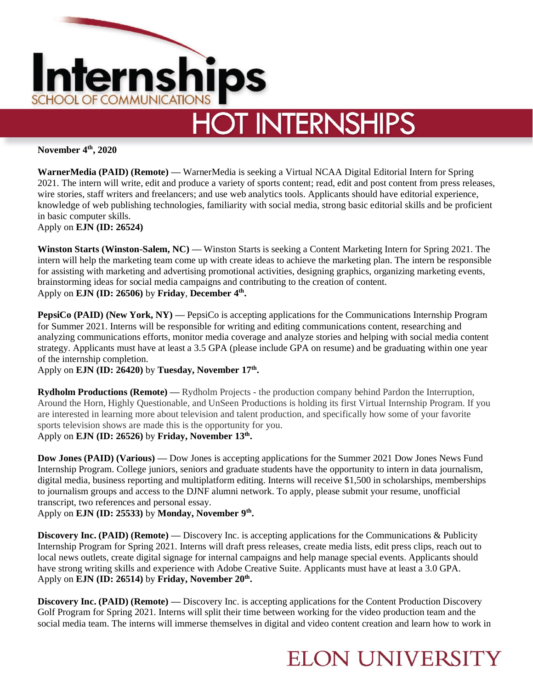

**November 4th, 2020**

**WarnerMedia (PAID) (Remote) —** WarnerMedia is seeking a Virtual NCAA Digital Editorial Intern for Spring 2021. The intern will write, edit and produce a variety of sports content; read, edit and post content from press releases, wire stories, staff writers and freelancers; and use web analytics tools. Applicants should have editorial experience, knowledge of web publishing technologies, familiarity with social media, strong basic editorial skills and be proficient in basic computer skills.

Apply on **EJN (ID: 26524)** 

**Winston Starts (Winston-Salem, NC) —** Winston Starts is seeking a Content Marketing Intern for Spring 2021. The intern will help the marketing team come up with create ideas to achieve the marketing plan. The intern be responsible for assisting with marketing and advertising promotional activities, designing graphics, organizing marketing events, brainstorming ideas for social media campaigns and contributing to the creation of content. Apply on **EJN (ID: 26506)** by **Friday**, **December 4th .** 

**PepsiCo** (PAID) (New York, NY) — PepsiCo is accepting applications for the Communications Internship Program for Summer 2021. Interns will be responsible for writing and editing communications content, researching and analyzing communications efforts, monitor media coverage and analyze stories and helping with social media content strategy. Applicants must have at least a 3.5 GPA (please include GPA on resume) and be graduating within one year of the internship completion.

Apply on **EJN (ID: 26420)** by **Tuesday, November 17th .** 

**Rydholm Productions (Remote) —** Rydholm Projects - the production company behind Pardon the Interruption, Around the Horn, Highly Questionable, and UnSeen Productions is holding its first Virtual Internship Program. If you are interested in learning more about television and talent production, and specifically how some of your favorite sports television shows are made this is the opportunity for you. Apply on **EJN (ID: 26526)** by **Friday, November 13th .** 

**Dow Jones (PAID) (Various) —** Dow Jones is accepting applications for the Summer 2021 Dow Jones News Fund Internship Program. College juniors, seniors and graduate students have the opportunity to intern in data journalism, digital media, business reporting and multiplatform editing. Interns will receive \$1,500 in scholarships, memberships to journalism groups and access to the DJNF alumni network. To apply, please submit your resume, unofficial transcript, two references and personal essay.

Apply on **EJN (ID: 25533)** by **Monday, November 9th .** 

**Discovery Inc. (PAID) (Remote) —** Discovery Inc. is accepting applications for the Communications & Publicity Internship Program for Spring 2021. Interns will draft press releases, create media lists, edit press clips, reach out to local news outlets, create digital signage for internal campaigns and help manage special events. Applicants should have strong writing skills and experience with Adobe Creative Suite. Applicants must have at least a 3.0 GPA. Apply on **EJN (ID: 26514)** by **Friday, November 20th .** 

**Discovery Inc. (PAID) (Remote) —** Discovery Inc. is accepting applications for the Content Production Discovery Golf Program for Spring 2021. Interns will split their time between working for the video production team and the social media team. The interns will immerse themselves in digital and video content creation and learn how to work in

## **ELON UNIVERSITY**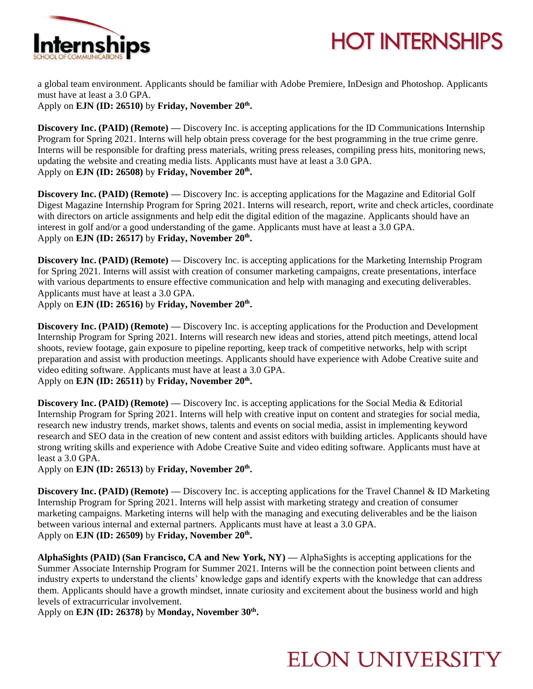

## **HOT INTERNSHIPS**

a global team environment. Applicants should be familiar with Adobe Premiere, InDesign and Photoshop. Applicants must have at least a 3.0 GPA.

Apply on **EJN (ID: 26510)** by **Friday, November 20th .** 

**Discovery Inc. (PAID) (Remote)** — Discovery Inc. is accepting applications for the ID Communications Internship Program for Spring 2021. Interns will help obtain press coverage for the best programming in the true crime genre. Interns will be responsible for drafting press materials, writing press releases, compiling press hits, monitoring news, updating the website and creating media lists. Applicants must have at least a 3.0 GPA. Apply on **EJN (ID: 26508)** by **Friday, November 20th .** 

**Discovery Inc. (PAID) (Remote) —** Discovery Inc. is accepting applications for the Magazine and Editorial Golf Digest Magazine Internship Program for Spring 2021. Interns will research, report, write and check articles, coordinate with directors on article assignments and help edit the digital edition of the magazine. Applicants should have an interest in golf and/or a good understanding of the game. Applicants must have at least a 3.0 GPA. Apply on **EJN (ID: 26517)** by **Friday, November 20th .** 

**Discovery Inc. (PAID) (Remote) —** Discovery Inc. is accepting applications for the Marketing Internship Program for Spring 2021. Interns will assist with creation of consumer marketing campaigns, create presentations, interface with various departments to ensure effective communication and help with managing and executing deliverables. Applicants must have at least a 3.0 GPA.

Apply on **EJN (ID: 26516)** by **Friday, November 20th .** 

**Discovery Inc. (PAID) (Remote) —** Discovery Inc. is accepting applications for the Production and Development Internship Program for Spring 2021. Interns will research new ideas and stories, attend pitch meetings, attend local shoots, review footage, gain exposure to pipeline reporting, keep track of competitive networks, help with script preparation and assist with production meetings. Applicants should have experience with Adobe Creative suite and video editing software. Applicants must have at least a 3.0 GPA. Apply on **EJN (ID: 26511)** by **Friday, November 20th .** 

**Discovery Inc. (PAID) (Remote)** — Discovery Inc. is accepting applications for the Social Media & Editorial Internship Program for Spring 2021. Interns will help with creative input on content and strategies for social media, research new industry trends, market shows, talents and events on social media, assist in implementing keyword research and SEO data in the creation of new content and assist editors with building articles. Applicants should have strong writing skills and experience with Adobe Creative Suite and video editing software. Applicants must have at least a 3.0 GPA.

Apply on **EJN (ID: 26513)** by **Friday, November 20th .** 

**Discovery Inc. (PAID) (Remote)** — Discovery Inc. is accepting applications for the Travel Channel & ID Marketing Internship Program for Spring 2021. Interns will help assist with marketing strategy and creation of consumer marketing campaigns. Marketing interns will help with the managing and executing deliverables and be the liaison between various internal and external partners. Applicants must have at least a 3.0 GPA. Apply on **EJN (ID: 26509)** by **Friday, November 20th .** 

**AlphaSights (PAID) (San Francisco, CA and New York, NY) —** AlphaSights is accepting applications for the Summer Associate Internship Program for Summer 2021. Interns will be the connection point between clients and industry experts to understand the clients' knowledge gaps and identify experts with the knowledge that can address them. Applicants should have a growth mindset, innate curiosity and excitement about the business world and high levels of extracurricular involvement.

Apply on **EJN (ID: 26378)** by **Monday, November 30th .** 

## **ELON UNIVERSITY**